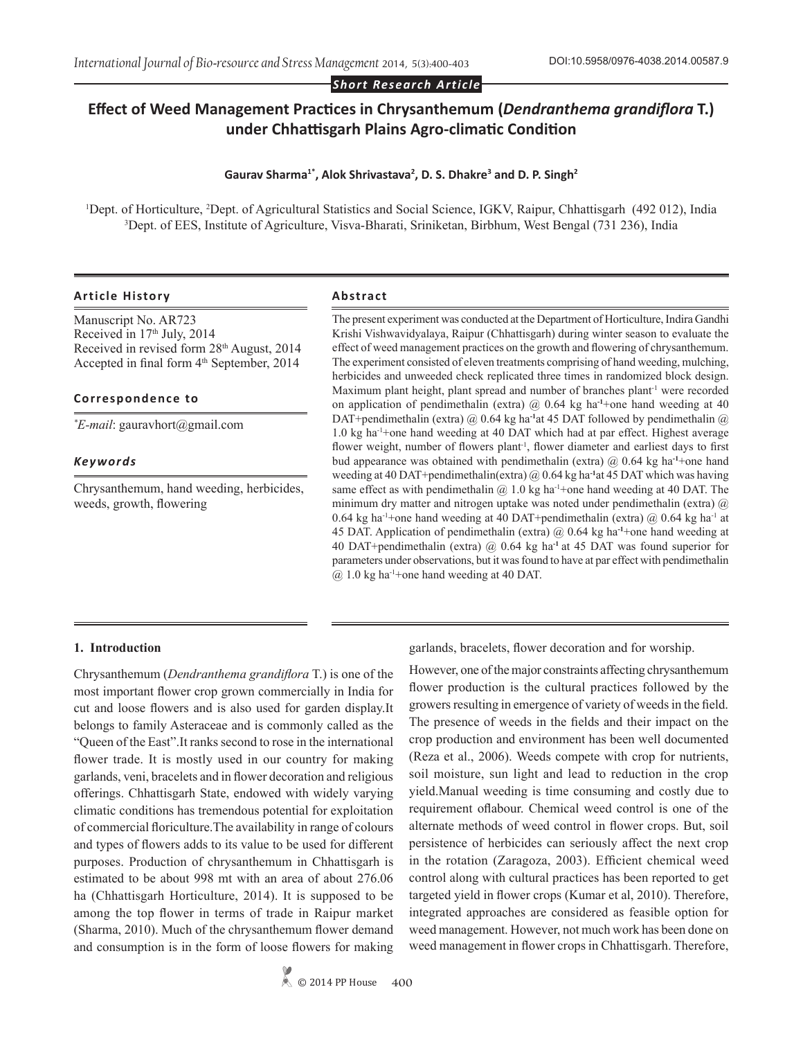*Short Research Article*

# **Effect of Weed Management Practices in Chrysanthemum (***Dendranthema grandiflora* **T.) under Chhattisgarh Plains Agro-climatic Condition**

#### **Gaurav Sharma1\*, Alok Shrivastava<sup>2</sup> , D. S. Dhakre<sup>3</sup> and D. P. Singh<sup>2</sup>**

<sup>1</sup>Dept. of Horticulture, <sup>2</sup>Dept. of Agricultural Statistics and Social Science, IGKV, Raipur, Chhattisgarh (492 012), India 3 Dept. of EES, Institute of Agriculture, Visva-Bharati, Sriniketan, Birbhum, West Bengal (731 236), India

### **Article History Abstract**

Manuscript No. AR723 Received in 17<sup>th</sup> July, 2014 Received in revised form 28th August, 2014 Accepted in final form  $4<sup>th</sup>$  September, 2014

#### **Correspondence to**

*\* E-mail*: gauravhort@gmail.com

#### *Keywords*

Chrysanthemum, hand weeding, herbicides, weeds, growth, flowering

The present experiment was conducted at the Department of Horticulture, Indira Gandhi Krishi Vishwavidyalaya, Raipur (Chhattisgarh) during winter season to evaluate the effect of weed management practices on the growth and flowering of chrysanthemum. The experiment consisted of eleven treatments comprising of hand weeding, mulching, herbicides and unweeded check replicated three times in randomized block design. Maximum plant height, plant spread and number of branches plant<sup>-1</sup> were recorded on application of pendimethalin (extra) @ 0.64 kg ha**-1**+one hand weeding at 40 DAT+pendimethalin (extra) @ 0.64 kg ha<sup>-1</sup>at 45 DAT followed by pendimethalin @ 1.0 kg ha-1+one hand weeding at 40 DAT which had at par effect. Highest average flower weight, number of flowers plant<sup>-1</sup>, flower diameter and earliest days to first bud appearance was obtained with pendimethalin (extra) @ 0.64 kg ha**-1**+one hand weeding at 40 DAT+pendimethalin(extra) @ 0.64 kg ha**-1**at 45 DAT which was having same effect as with pendimethalin  $@1.0$  kg ha<sup>-1</sup>+one hand weeding at 40 DAT. The minimum dry matter and nitrogen uptake was noted under pendimethalin (extra) @ 0.64 kg ha<sup>-1</sup>+one hand weeding at 40 DAT+pendimethalin (extra)  $@$  0.64 kg ha<sup>-1</sup> at 45 DAT. Application of pendimethalin (extra) @ 0.64 kg ha**-1**+one hand weeding at 40 DAT+pendimethalin (extra) @ 0.64 kg ha**-1** at 45 DAT was found superior for parameters under observations, but it was found to have at par effect with pendimethalin  $(a)$  1.0 kg ha<sup>-1</sup>+one hand weeding at 40 DAT.

### **1. Introduction**

Chrysanthemum (*Dendranthema grandiflora* T.) is one of the most important flower crop grown commercially in India for cut and loose flowers and is also used for garden display.It belongs to family Asteraceae and is commonly called as the "Queen of the East".It ranks second to rose in the international flower trade. It is mostly used in our country for making garlands, veni, bracelets and in flower decoration and religious offerings. Chhattisgarh State, endowed with widely varying climatic conditions has tremendous potential for exploitation of commercial floriculture.The availability in range of colours and types of flowers adds to its value to be used for different purposes. Production of chrysanthemum in Chhattisgarh is estimated to be about 998 mt with an area of about 276.06 ha (Chhattisgarh Horticulture, 2014). It is supposed to be among the top flower in terms of trade in Raipur market (Sharma, 2010). Much of the chrysanthemum flower demand and consumption is in the form of loose flowers for making

© 2014 PP House **400**

garlands, bracelets, flower decoration and for worship.

However, one of the major constraints affecting chrysanthemum flower production is the cultural practices followed by the growers resulting in emergence of variety of weeds in the field. The presence of weeds in the fields and their impact on the crop production and environment has been well documented (Reza et al., 2006). Weeds compete with crop for nutrients, soil moisture, sun light and lead to reduction in the crop yield.Manual weeding is time consuming and costly due to requirement oflabour. Chemical weed control is one of the alternate methods of weed control in flower crops. But, soil persistence of herbicides can seriously affect the next crop in the rotation (Zaragoza, 2003). Efficient chemical weed control along with cultural practices has been reported to get targeted yield in flower crops (Kumar et al, 2010). Therefore, integrated approaches are considered as feasible option for weed management. However, not much work has been done on weed management in flower crops in Chhattisgarh. Therefore,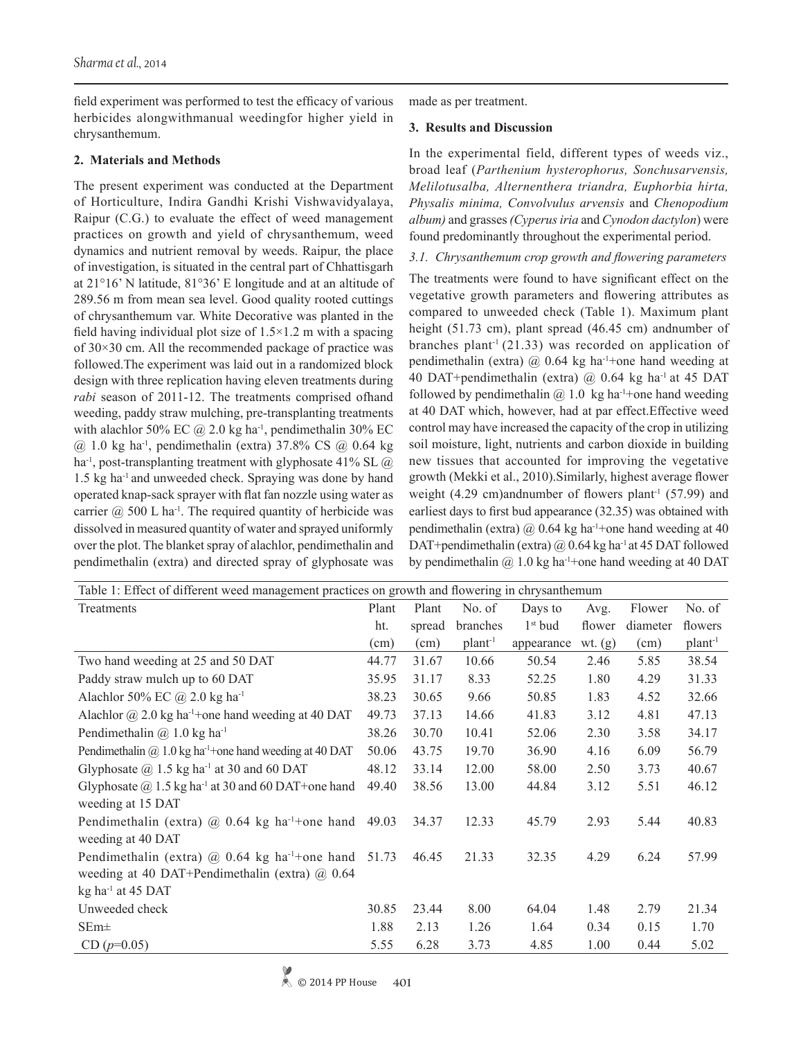field experiment was performed to test the efficacy of various herbicides alongwithmanual weedingfor higher yield in chrysanthemum.

## **2. Materials and Methods**

The present experiment was conducted at the Department of Horticulture, Indira Gandhi Krishi Vishwavidyalaya, Raipur (C.G.) to evaluate the effect of weed management practices on growth and yield of chrysanthemum, weed dynamics and nutrient removal by weeds. Raipur, the place of investigation, is situated in the central part of Chhattisgarh at 21°16' N latitude, 81°36' E longitude and at an altitude of 289.56 m from mean sea level. Good quality rooted cuttings of chrysanthemum var. White Decorative was planted in the field having individual plot size of  $1.5 \times 1.2$  m with a spacing of 30×30 cm. All the recommended package of practice was followed.The experiment was laid out in a randomized block design with three replication having eleven treatments during *rabi* season of 2011-12. The treatments comprised ofhand weeding, paddy straw mulching, pre-transplanting treatments with alachlor 50% EC  $\omega$  2.0 kg ha<sup>-1</sup>, pendimethalin 30% EC  $(a)$  1.0 kg ha<sup>-1</sup>, pendimethalin (extra) 37.8% CS  $(a)$  0.64 kg ha<sup>-1</sup>, post-transplanting treatment with glyphosate 41% SL  $\omega$ 1.5 kg ha-1 and unweeded check. Spraying was done by hand operated knap-sack sprayer with flat fan nozzle using water as carrier  $\omega$  500 L ha<sup>-1</sup>. The required quantity of herbicide was dissolved in measured quantity of water and sprayed uniformly over the plot. The blanket spray of alachlor, pendimethalin and pendimethalin (extra) and directed spray of glyphosate was

made as per treatment.

### **3. Results and Discussion**

In the experimental field, different types of weeds viz., broad leaf (*Parthenium hysterophorus, Sonchusarvensis, Melilotusalba, Alternenthera triandra, Euphorbia hirta, Physalis minima, Convolvulus arvensis* and *Chenopodium album)* and grasses *(Cyperus iria* and *Cynodon dactylon*) were found predominantly throughout the experimental period.

*3.1. Chrysanthemum crop growth and flowering parameters*

The treatments were found to have significant effect on the vegetative growth parameters and flowering attributes as compared to unweeded check (Table 1). Maximum plant height (51.73 cm), plant spread (46.45 cm) andnumber of branches plant<sup>-1</sup> (21.33) was recorded on application of pendimethalin (extra)  $\omega$  0.64 kg ha<sup>-1</sup>+one hand weeding at 40 DAT+pendimethalin (extra)  $(a)$  0.64 kg ha<sup>-1</sup> at 45 DAT followed by pendimethalin  $(a)$  1.0 kg ha<sup>-1</sup>+one hand weeding at 40 DAT which, however, had at par effect.Effective weed control may have increased the capacity of the crop in utilizing soil moisture, light, nutrients and carbon dioxide in building new tissues that accounted for improving the vegetative growth (Mekki et al., 2010).Similarly, highest average flower weight  $(4.29 \text{ cm})$ andnumber of flowers plant<sup>-1</sup> (57.99) and earliest days to first bud appearance (32.35) was obtained with pendimethalin (extra)  $\omega$  0.64 kg ha<sup>-1</sup>+one hand weeding at 40 DAT+pendimethalin (extra) @ 0.64 kg ha<sup>-1</sup> at 45 DAT followed by pendimethalin  $@1.0$  kg ha<sup>-1</sup>+one hand weeding at 40 DAT

| Table 1: Effect of different weed management practices on growth and flowering in chrysanthemum |       |        |                   |                 |           |          |                   |  |  |
|-------------------------------------------------------------------------------------------------|-------|--------|-------------------|-----------------|-----------|----------|-------------------|--|--|
| Treatments                                                                                      | Plant | Plant  | No. of            | Days to<br>Avg. |           | Flower   | No. of            |  |  |
|                                                                                                 | ht.   | spread | branches          | $1st$ bud       | flower    | diameter | flowers           |  |  |
|                                                                                                 | (cm)  | (cm)   | plan <sup>1</sup> | appearance      | wt. $(g)$ | (cm)     | plan <sup>1</sup> |  |  |
| Two hand weeding at 25 and 50 DAT                                                               | 44.77 | 31.67  | 10.66             | 50.54           | 2.46      | 5.85     | 38.54             |  |  |
| Paddy straw mulch up to 60 DAT                                                                  | 35.95 | 31.17  | 8.33              | 52.25           | 1.80      | 4.29     | 31.33             |  |  |
| Alachlor 50% EC $\omega$ 2.0 kg ha <sup>-1</sup>                                                | 38.23 | 30.65  | 9.66              | 50.85           | 1.83      | 4.52     | 32.66             |  |  |
| Alachlor $\omega$ 2.0 kg ha <sup>-1</sup> +one hand weeding at 40 DAT                           | 49.73 | 37.13  | 14.66             | 41.83           | 3.12      | 4.81     | 47.13             |  |  |
| Pendimethalin $(a)$ 1.0 kg ha <sup>-1</sup>                                                     | 38.26 | 30.70  | 10.41             | 52.06           | 2.30      | 3.58     | 34.17             |  |  |
| Pendimethalin $\omega$ 1.0 kg ha <sup>1</sup> +one hand weeding at 40 DAT                       | 50.06 | 43.75  | 19.70             | 36.90           | 4.16      | 6.09     | 56.79             |  |  |
| Glyphosate $(2)$ 1.5 kg ha <sup>-1</sup> at 30 and 60 DAT                                       | 48.12 | 33.14  | 12.00             | 58.00           | 2.50      | 3.73     | 40.67             |  |  |
| Glyphosate $\omega$ 1.5 kg ha <sup>-1</sup> at 30 and 60 DAT+one hand                           | 49.40 | 38.56  | 13.00             | 44.84           | 3.12      | 5.51     | 46.12             |  |  |
| weeding at 15 DAT                                                                               |       |        |                   |                 |           |          |                   |  |  |
| Pendimethalin (extra) $\omega$ 0.64 kg ha <sup>-1+</sup> one hand 49.03                         |       | 34.37  | 12.33             | 45.79           | 2.93      | 5.44     | 40.83             |  |  |
| weeding at 40 DAT                                                                               |       |        |                   |                 |           |          |                   |  |  |
| Pendimethalin (extra) $\omega$ 0.64 kg ha <sup>-1+</sup> one hand 51.73                         |       | 46.45  | 21.33             | 32.35           | 4.29      | 6.24     | 57.99             |  |  |
| weeding at 40 DAT+Pendimethalin (extra) $\omega$ 0.64                                           |       |        |                   |                 |           |          |                   |  |  |
| $kg$ ha <sup>-1</sup> at 45 DAT                                                                 |       |        |                   |                 |           |          |                   |  |  |
| Unweeded check                                                                                  | 30.85 | 23.44  | 8.00              | 64.04           | 1.48      | 2.79     | 21.34             |  |  |
| $SEm\pm$                                                                                        | 1.88  | 2.13   | 1.26              | 1.64            | 0.34      | 0.15     | 1.70              |  |  |
| $CD (p=0.05)$                                                                                   | 5.55  | 6.28   | 3.73              | 4.85            | 1.00      | 0.44     | 5.02              |  |  |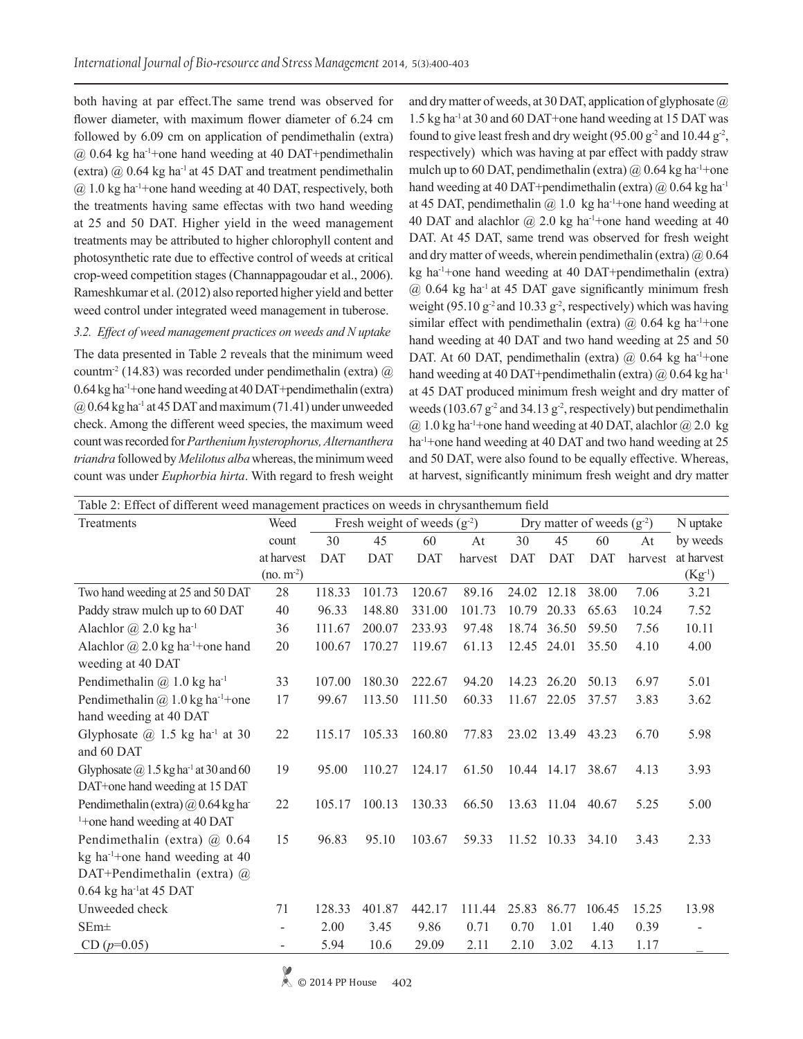both having at par effect.The same trend was observed for flower diameter, with maximum flower diameter of 6.24 cm followed by 6.09 cm on application of pendimethalin (extra) @ 0.64 kg ha-1+one hand weeding at 40 DAT+pendimethalin (extra)  $\omega$  0.64 kg ha<sup>-1</sup> at 45 DAT and treatment pendimethalin  $(a)$  1.0 kg ha<sup>-1</sup>+one hand weeding at 40 DAT, respectively, both the treatments having same effectas with two hand weeding at 25 and 50 DAT. Higher yield in the weed management treatments may be attributed to higher chlorophyll content and photosynthetic rate due to effective control of weeds at critical crop-weed competition stages (Channappagoudar et al., 2006). Rameshkumar et al. (2012) also reported higher yield and better weed control under integrated weed management in tuberose.

*3.2. Effect of weed management practices on weeds and N uptake*

The data presented in Table 2 reveals that the minimum weed countm<sup>-2</sup> (14.83) was recorded under pendimethalin (extra)  $\omega$ 0.64 kg ha-1+one hand weeding at 40 DAT+pendimethalin (extra)  $(a)$  0.64 kg ha<sup>-1</sup> at 45 DAT and maximum (71.41) under unweeded check. Among the different weed species, the maximum weed count was recorded for *Parthenium hysterophorus, Alternanthera triandra* followed by *Melilotus alba* whereas, the minimum weed count was under *Euphorbia hirta*. With regard to fresh weight and dry matter of weeds, at 30 DAT, application of glyphosate @ 1.5 kg ha-1 at 30 and 60 DAT+one hand weeding at 15 DAT was found to give least fresh and dry weight  $(95.00 \text{ g}^2 \text{ and } 10.44 \text{ g}^2)$ , respectively) which was having at par effect with paddy straw mulch up to 60 DAT, pendimethalin (extra)  $\omega$  0.64 kg ha<sup>-1</sup>+one hand weeding at 40 DAT+pendimethalin (extra)  $\omega$  0.64 kg ha<sup>-1</sup> at 45 DAT, pendimethalin  $\omega$  1.0 kg ha<sup>-1</sup>+one hand weeding at 40 DAT and alachlor  $\omega$  2.0 kg ha<sup>-1</sup>+one hand weeding at 40 DAT. At 45 DAT, same trend was observed for fresh weight and dry matter of weeds, wherein pendimethalin (extra)  $\omega$  0.64 kg ha-1+one hand weeding at 40 DAT+pendimethalin (extra)  $(a)$  0.64 kg ha<sup>-1</sup> at 45 DAT gave significantly minimum fresh weight (95.10  $g^2$  and 10.33  $g^2$ , respectively) which was having similar effect with pendimethalin (extra)  $\omega$  0.64 kg ha<sup>-1</sup>+one hand weeding at 40 DAT and two hand weeding at 25 and 50 DAT. At 60 DAT, pendimethalin (extra)  $\omega$  0.64 kg ha<sup>-1</sup>+one hand weeding at 40 DAT+pendimethalin (extra)  $\omega$  0.64 kg ha<sup>-1</sup> at 45 DAT produced minimum fresh weight and dry matter of weeds (103.67  $g^2$  and 34.13  $g^2$ , respectively) but pendimethalin  $(a)$  1.0 kg ha<sup>-1</sup>+one hand weeding at 40 DAT, alachlor  $(a)$  2.0 kg ha<sup>-1</sup>+one hand weeding at 40 DAT and two hand weeding at 25 and 50 DAT, were also found to be equally effective. Whereas, at harvest, significantly minimum fresh weight and dry matter

| Table 2: Effect of different weed management practices on weeds in chrysanthemum field |             |                                  |            |            |         |                                |             |            |         |             |
|----------------------------------------------------------------------------------------|-------------|----------------------------------|------------|------------|---------|--------------------------------|-------------|------------|---------|-------------|
| Treatments                                                                             | Weed        | Fresh weight of weeds $(g^{-2})$ |            |            |         | Dry matter of weeds $(g^{-2})$ |             |            |         | N uptake    |
|                                                                                        | count       | 30                               | 45         | 60         | At      | 30                             | 45          | 60         | At      | by weeds    |
|                                                                                        | at harvest  | <b>DAT</b>                       | <b>DAT</b> | <b>DAT</b> | harvest | DAT                            | <b>DAT</b>  | <b>DAT</b> | harvest | at harvest  |
|                                                                                        | $(no. m-2)$ |                                  |            |            |         |                                |             |            |         | $(Kg^{-1})$ |
| Two hand weeding at 25 and 50 DAT                                                      | 28          | 118.33                           | 101.73     | 120.67     | 89.16   | 24.02                          | 12.18       | 38.00      | 7.06    | 3.21        |
| Paddy straw mulch up to 60 DAT                                                         | 40          | 96.33                            | 148.80     | 331.00     | 101.73  | 10.79                          | 20.33       | 65.63      | 10.24   | 7.52        |
| Alachlor $\omega$ 2.0 kg ha <sup>-1</sup>                                              | 36          | 111.67                           | 200.07     | 233.93     | 97.48   | 18.74                          | 36.50       | 59.50      | 7.56    | 10.11       |
| Alachlor $\omega$ 2.0 kg ha <sup>-1</sup> +one hand                                    | 20          | 100.67                           | 170.27     | 119.67     | 61.13   | 12.45                          | 24.01       | 35.50      | 4.10    | 4.00        |
| weeding at 40 DAT                                                                      |             |                                  |            |            |         |                                |             |            |         |             |
| Pendimethalin $(a)$ 1.0 kg ha <sup>-1</sup>                                            | 33          | 107.00                           | 180.30     | 222.67     | 94.20   | 14.23                          | 26.20       | 50.13      | 6.97    | 5.01        |
| Pendimethalin @ 1.0 kg ha <sup>-1+</sup> one                                           | 17          | 99.67                            | 113.50     | 111.50     | 60.33   | 11.67                          | 22.05       | 37.57      | 3.83    | 3.62        |
| hand weeding at 40 DAT                                                                 |             |                                  |            |            |         |                                |             |            |         |             |
| Glyphosate $\omega$ 1.5 kg ha <sup>-1</sup> at 30                                      | 22          | 115.17                           | 105.33     | 160.80     | 77.83   |                                | 23.02 13.49 | 43.23      | 6.70    | 5.98        |
| and 60 DAT                                                                             |             |                                  |            |            |         |                                |             |            |         |             |
| Glyphosate $\omega$ 1.5 kg ha <sup>-1</sup> at 30 and 60                               | 19          | 95.00                            | 110.27     | 124.17     | 61.50   |                                | 10.44 14.17 | 38.67      | 4.13    | 3.93        |
| DAT+one hand weeding at 15 DAT                                                         |             |                                  |            |            |         |                                |             |            |         |             |
| Pendimethalin (extra) $\omega$ 0.64 kg ha                                              | 22          | 105.17                           | 100.13     | 130.33     | 66.50   |                                | 13.63 11.04 | 40.67      | 5.25    | 5.00        |
| <sup>1</sup> +one hand weeding at 40 DAT                                               |             |                                  |            |            |         |                                |             |            |         |             |
| Pendimethalin (extra) @ 0.64                                                           | 15          | 96.83                            | 95.10      | 103.67     | 59.33   |                                | 11.52 10.33 | 34.10      | 3.43    | 2.33        |
| kg ha <sup>-1+</sup> one hand weeding at 40                                            |             |                                  |            |            |         |                                |             |            |         |             |
| DAT+Pendimethalin (extra) @                                                            |             |                                  |            |            |         |                                |             |            |         |             |
| $0.64$ kg ha <sup>-1</sup> at 45 DAT                                                   |             |                                  |            |            |         |                                |             |            |         |             |
| Unweeded check                                                                         | 71          | 128.33                           | 401.87     | 442.17     | 111.44  | 25.83                          | 86.77       | 106.45     | 15.25   | 13.98       |
| $SEm\pm$                                                                               |             | 2.00                             | 3.45       | 9.86       | 0.71    | 0.70                           | 1.01        | 1.40       | 0.39    |             |
| $CD (p=0.05)$                                                                          |             | 5.94                             | 10.6       | 29.09      | 2.11    | 2.10                           | 3.02        | 4.13       | 1.17    |             |
|                                                                                        |             |                                  |            |            |         |                                |             |            |         |             |